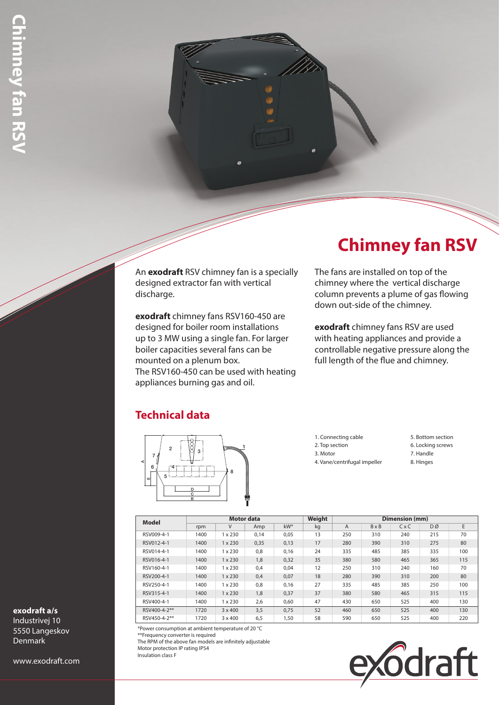An **exodraft** RSV chimney fan is a specially designed extractor fan with vertical discharge.

**exodraft** chimney fans RSV160-450 are designed for boiler room installations up to 3 MW using a single fan. For larger boiler capacities several fans can be mounted on a plenum box. The RSV160-450 can be used with heating appliances burning gas and oil.

# **Chimney fan RSV**

The fans are installed on top of the chimney where the vertical discharge column prevents a plume of gas flowing down out-side of the chimney.

**exodraft** chimney fans RSV are used with heating appliances and provide a controllable negative pressure along the full length of the flue and chimney.

### **Technical data**



- 1. Connecting cable 2. Top section
- 3. Motor
- 4. Vane/centrifugal impeller
- 5. Bottom section
- 6. Locking screws
- 7. Handle
- 8. Hinges

**Model Motor data Weight Dimension (mm)** rpm | V | Amp | kW\* | kg | A | B×B | C×C | DØ | E RSV009-4-1 1400 1 x 230 0,14 0,05 13 250 310 240 215 70 RSV012-4-1 1400 1 x 230 0,35 0,13 17 280 390 310 275 80 RSV014-4-1 1400 1 x 230 0,8 0,16 24 335 485 385 335 100 RSV016-4-1 1400 1 x 230 1,8 0,32 35 380 580 465 365 115 RSV160-4-1 | 1400 | 1 x 230 | 0,4 | 0,04 | 12 | 250 | 310 | 240 | 160 | 70 RSV200-4-1 1400 1 x 230 0,4 0,07 18 280 390 310 200 80 RSV250-4-1 1400 1 x 230 0,8 0,16 27 335 485 385 250 100 RSV315-4-1 1400 1 x 230 1,8 0,37 37 380 580 465 315 115 RSV400-4-1 1400 1 x 230 2,6 0,60 47 430 650 525 400 130 RSV400-4-2\*\* 1720 3 x 400 3,5 0,75 52 460 650 525 400 130 RSV450-4-2\*\* 1720 3 x 400 6,5 1,50 58 590 650 525 400 220

\*Power consumption at ambient temperature of 20 °C

\*\*Frequency converter is required

The RPM of the above fan models are infinitely adjustable

Motor protection IP rating IP54

Insulation class F



### **exodraft a/s**

Industrivej 10 5550 Langeskov Denmark

www.exodraft.com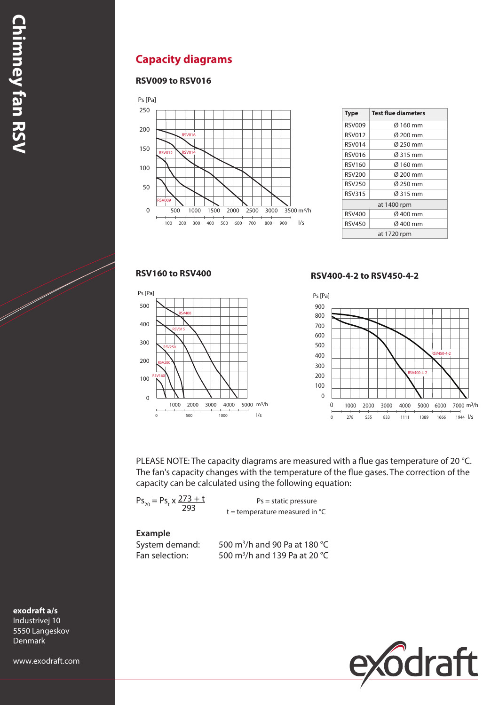### **Capacity diagrams**

#### **RSV009 to RSV016**



| <b>Type</b>   | <b>Test flue diameters</b> |  |  |  |  |  |
|---------------|----------------------------|--|--|--|--|--|
| <b>RSV009</b> | Ø 160 mm                   |  |  |  |  |  |
| <b>RSV012</b> | Ø 200 mm                   |  |  |  |  |  |
| <b>RSV014</b> | Ø 250 mm                   |  |  |  |  |  |
| <b>RSV016</b> | Ø 315 mm                   |  |  |  |  |  |
| RSV160        | Ø 160 mm                   |  |  |  |  |  |
| <b>RSV200</b> | Ø 200 mm                   |  |  |  |  |  |
| <b>RSV250</b> | Ø 250 mm                   |  |  |  |  |  |
| <b>RSV315</b> | Ø 315 mm                   |  |  |  |  |  |
| at 1400 rpm   |                            |  |  |  |  |  |
| <b>RSV400</b> | Ø 400 mm                   |  |  |  |  |  |
| <b>RSV450</b> | Ø 400 mm                   |  |  |  |  |  |
| at 1720 rpm   |                            |  |  |  |  |  |

#### **RSV160 to RSV400**



#### **RSV400-4-2 to RSV450-4-2**



PLEASE NOTE: The capacity diagrams are measured with a flue gas temperature of 20 °C. The fan's capacity changes with the temperature of the flue gases. The correction of the capacity can be calculated using the following equation:

$$
Ps_{20} = Ps_{t} \times \frac{273 + t}{293}
$$

 $Ps =$  static pressure  $t =$  temperature measured in  $°C$ 

#### **Example**

System demand: Fan selection:

500 m<sup>3</sup>/h and 90 Pa at 180 °C 500 m<sup>3</sup>/h and 139 Pa at 20 °C



**exodraft a/s** Industrivej 10

5550 Langeskov Denmark

www.exodraft.com